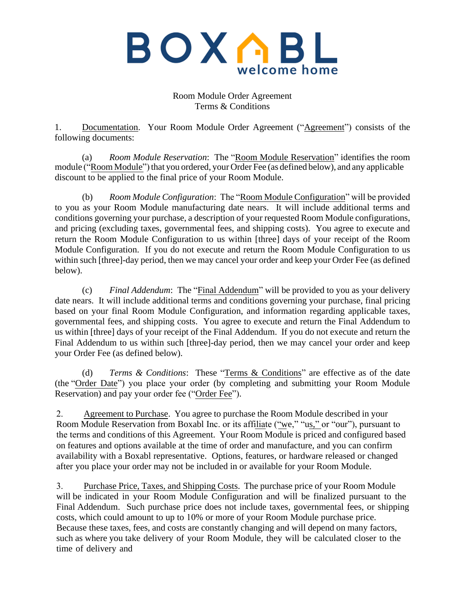

Room Module Order Agreement Terms & Conditions

1. Documentation. Your Room Module Order Agreement ("Agreement") consists of the following documents:

(a) *Room Module Reservation*: The "Room Module Reservation" identifies the room module ("Room Module") that you ordered, your Order Fee (as defined below), and any applicable discount to be applied to the final price of your Room Module.

(b) *Room Module Configuration*: The "Room Module Configuration" will be provided to you as your Room Module manufacturing date nears. It will include additional terms and conditions governing your purchase, a description of your requested Room Module configurations, and pricing (excluding taxes, governmental fees, and shipping costs). You agree to execute and return the Room Module Configuration to us within [three] days of your receipt of the Room Module Configuration. If you do not execute and return the Room Module Configuration to us within such [three]-day period, then we may cancel your order and keep your Order Fee (as defined below).

(c) *Final Addendum*: The "Final Addendum" will be provided to you as your delivery date nears. It will include additional terms and conditions governing your purchase, final pricing based on your final Room Module Configuration, and information regarding applicable taxes, governmental fees, and shipping costs. You agree to execute and return the Final Addendum to us within [three] days of your receipt of the Final Addendum. If you do not execute and return the Final Addendum to us within such [three]-day period, then we may cancel your order and keep your Order Fee (as defined below).

(d) *Terms & Conditions*: These "Terms & Conditions" are effective as of the date (the "Order Date") you place your order (by completing and submitting your Room Module Reservation) and pay your order fee ("Order Fee").

2. Agreement to Purchase. You agree to purchase the Room Module described in your Room Module Reservation from Boxabl Inc. or its affiliate ("we," "us," or "our"), pursuant to the terms and conditions of this Agreement. Your Room Module is priced and configured based on features and options available at the time of order and manufacture, and you can confirm availability with a Boxabl representative. Options, features, or hardware released or changed after you place your order may not be included in or available for your Room Module.

3. Purchase Price, Taxes, and Shipping Costs. The purchase price of your Room Module will be indicated in your Room Module Configuration and will be finalized pursuant to the Final Addendum. Such purchase price does not include taxes, governmental fees, or shipping costs, which could amount to up to 10% or more of your Room Module purchase price. Because these taxes, fees, and costs are constantly changing and will depend on many factors, such as where you take delivery of your Room Module, they will be calculated closer to the time of delivery and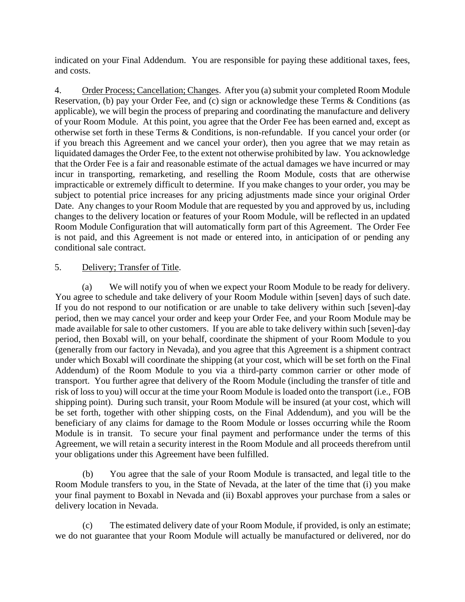indicated on your Final Addendum. You are responsible for paying these additional taxes, fees, and costs.

4. Order Process; Cancellation; Changes. After you (a) submit your completed Room Module Reservation, (b) pay your Order Fee, and (c) sign or acknowledge these Terms & Conditions (as applicable), we will begin the process of preparing and coordinating the manufacture and delivery of your Room Module. At this point, you agree that the Order Fee has been earned and, except as otherwise set forth in these Terms & Conditions, is non-refundable. If you cancel your order (or if you breach this Agreement and we cancel your order), then you agree that we may retain as liquidated damages the Order Fee, to the extent not otherwise prohibited by law. You acknowledge that the Order Fee is a fair and reasonable estimate of the actual damages we have incurred or may incur in transporting, remarketing, and reselling the Room Module, costs that are otherwise impracticable or extremely difficult to determine. If you make changes to your order, you may be subject to potential price increases for any pricing adjustments made since your original Order Date. Any changes to your Room Module that are requested by you and approved by us, including changes to the delivery location or features of your Room Module, will be reflected in an updated Room Module Configuration that will automatically form part of this Agreement. The Order Fee is not paid, and this Agreement is not made or entered into, in anticipation of or pending any conditional sale contract.

## 5. Delivery; Transfer of Title.

(a) We will notify you of when we expect your Room Module to be ready for delivery. You agree to schedule and take delivery of your Room Module within [seven] days of such date. If you do not respond to our notification or are unable to take delivery within such [seven]-day period, then we may cancel your order and keep your Order Fee, and your Room Module may be made available for sale to other customers. If you are able to take delivery within such [seven]-day period, then Boxabl will, on your behalf, coordinate the shipment of your Room Module to you (generally from our factory in Nevada), and you agree that this Agreement is a shipment contract under which Boxabl will coordinate the shipping (at your cost, which will be set forth on the Final Addendum) of the Room Module to you via a third-party common carrier or other mode of transport. You further agree that delivery of the Room Module (including the transfer of title and risk of loss to you) will occur at the time your Room Module is loaded onto the transport (i.e., FOB shipping point). During such transit, your Room Module will be insured (at your cost, which will be set forth, together with other shipping costs, on the Final Addendum), and you will be the beneficiary of any claims for damage to the Room Module or losses occurring while the Room Module is in transit. To secure your final payment and performance under the terms of this Agreement, we will retain a security interest in the Room Module and all proceeds therefrom until your obligations under this Agreement have been fulfilled.

(b) You agree that the sale of your Room Module is transacted, and legal title to the Room Module transfers to you, in the State of Nevada, at the later of the time that (i) you make your final payment to Boxabl in Nevada and (ii) Boxabl approves your purchase from a sales or delivery location in Nevada.

(c) The estimated delivery date of your Room Module, if provided, is only an estimate; we do not guarantee that your Room Module will actually be manufactured or delivered, nor do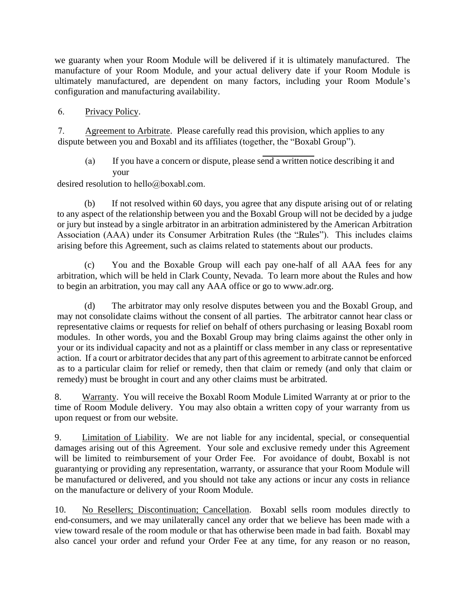we guaranty when your Room Module will be delivered if it is ultimately manufactured. The manufacture of your Room Module, and your actual delivery date if your Room Module is ultimately manufactured, are dependent on many factors, including your Room Module's configuration and manufacturing availability.

6. Privacy Policy.

7. Agreement to Arbitrate. Please carefully read this provision, which applies to any dispute between you and Boxabl and its affiliates (together, the "Boxabl Group").

(a) If you have a concern or dispute, please send a written notice describing it and your

desired resolution to hello@boxabl.com.

(b) If not resolved within 60 days, you agree that any dispute arising out of or relating to any aspect of the relationship between you and the Boxabl Group will not be decided by a judge or jury but instead by a single arbitrator in an arbitration administered by the American Arbitration Association (AAA) under its Consumer Arbitration Rules (the "Rules"). This includes claims arising before this Agreement, such as claims related to statements about our products.

(c) You and the Boxable Group will each pay one-half of all AAA fees for any arbitration, which will be held in Clark County, Nevada. To learn more about the Rules and how to begin an arbitration, you may call any AAA office or go to www.adr.org.

(d) The arbitrator may only resolve disputes between you and the Boxabl Group, and may not consolidate claims without the consent of all parties. The arbitrator cannot hear class or representative claims or requests for relief on behalf of others purchasing or leasing Boxabl room modules. In other words, you and the Boxabl Group may bring claims against the other only in your or its individual capacity and not as a plaintiff or class member in any class or representative action. If a court or arbitrator decides that any part of this agreement to arbitrate cannot be enforced as to a particular claim for relief or remedy, then that claim or remedy (and only that claim or remedy) must be brought in court and any other claims must be arbitrated.

8. Warranty. You will receive the Boxabl Room Module Limited Warranty at or prior to the time of Room Module delivery. You may also obtain a written copy of your warranty from us upon request or from our website.

9. Limitation of Liability. We are not liable for any incidental, special, or consequential damages arising out of this Agreement. Your sole and exclusive remedy under this Agreement will be limited to reimbursement of your Order Fee. For avoidance of doubt, Boxabl is not guarantying or providing any representation, warranty, or assurance that your Room Module will be manufactured or delivered, and you should not take any actions or incur any costs in reliance on the manufacture or delivery of your Room Module.

10. No Resellers; Discontinuation; Cancellation. Boxabl sells room modules directly to end-consumers, and we may unilaterally cancel any order that we believe has been made with a view toward resale of the room module or that has otherwise been made in bad faith. Boxabl may also cancel your order and refund your Order Fee at any time, for any reason or no reason,